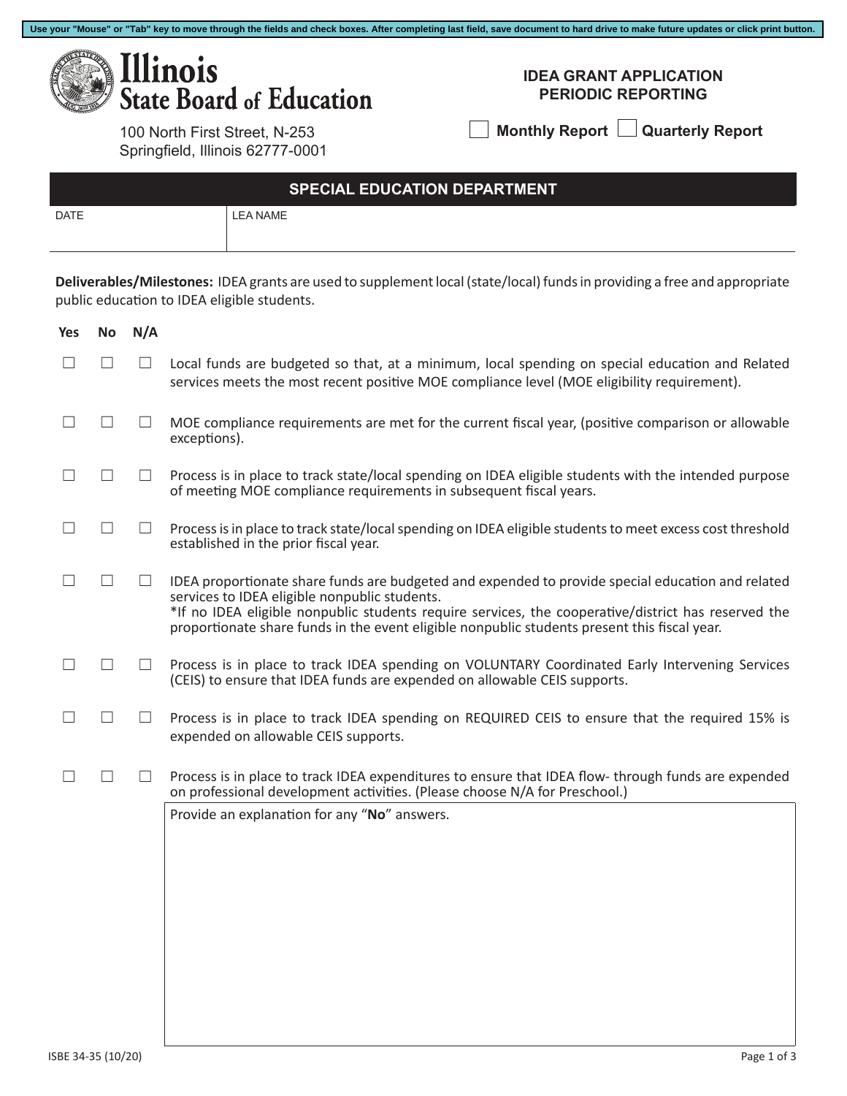| <b>Minois</b>                                                     | <b>IDEA GRANT APPLICATION</b>          |
|-------------------------------------------------------------------|----------------------------------------|
| <b>State Board of Education</b>                                   | <b>PERIODIC REPORTING</b>              |
| 100 North First Street, N-253<br>Springfield, Illinois 62777-0001 | Monthly Report $\Box$ Quarterly Report |

**Use your "Mouse" or "Tab" key to move through the fields and check boxes. After completing last field, save document to hard drive to make future updates or click print button.**

| <b>SPECIAL EDUCATION DEPARTMENT</b> |          |  |  |  |
|-------------------------------------|----------|--|--|--|
| DATE                                | LEA NAME |  |  |  |
|                                     |          |  |  |  |

**Deliverables/Milestones:** IDEA grants are used to supplement local (state/local) funds in providing a free and appropriate public education to IDEA eligible students.

| Yes | No      | N/A    |                                                                                                                                                                                                                                                                                                                                                           |
|-----|---------|--------|-----------------------------------------------------------------------------------------------------------------------------------------------------------------------------------------------------------------------------------------------------------------------------------------------------------------------------------------------------------|
|     |         | $\Box$ | Local funds are budgeted so that, at a minimum, local spending on special education and Related<br>services meets the most recent positive MOE compliance level (MOE eligibility requirement).                                                                                                                                                            |
|     | $\perp$ | $\Box$ | MOE compliance requirements are met for the current fiscal year, (positive comparison or allowable<br>exceptions).                                                                                                                                                                                                                                        |
|     | $\perp$ | ш      | Process is in place to track state/local spending on IDEA eligible students with the intended purpose<br>of meeting MOE compliance requirements in subsequent fiscal years.                                                                                                                                                                               |
|     |         | Ш      | Process is in place to track state/local spending on IDEA eligible students to meet excess cost threshold<br>established in the prior fiscal year.                                                                                                                                                                                                        |
|     |         | $\Box$ | IDEA proportionate share funds are budgeted and expended to provide special education and related<br>services to IDEA eligible nonpublic students.<br>*If no IDEA eligible nonpublic students require services, the cooperative/district has reserved the<br>proportionate share funds in the event eligible nonpublic students present this fiscal year. |
|     |         | ப      | Process is in place to track IDEA spending on VOLUNTARY Coordinated Early Intervening Services<br>(CEIS) to ensure that IDEA funds are expended on allowable CEIS supports.                                                                                                                                                                               |
|     | $\perp$ | $\Box$ | Process is in place to track IDEA spending on REQUIRED CEIS to ensure that the required 15% is<br>expended on allowable CEIS supports.                                                                                                                                                                                                                    |
|     |         | $\Box$ | Process is in place to track IDEA expenditures to ensure that IDEA flow-through funds are expended<br>on professional development activities. (Please choose N/A for Preschool.)                                                                                                                                                                          |
|     |         |        | Provide an explanation for any "No" answers.                                                                                                                                                                                                                                                                                                              |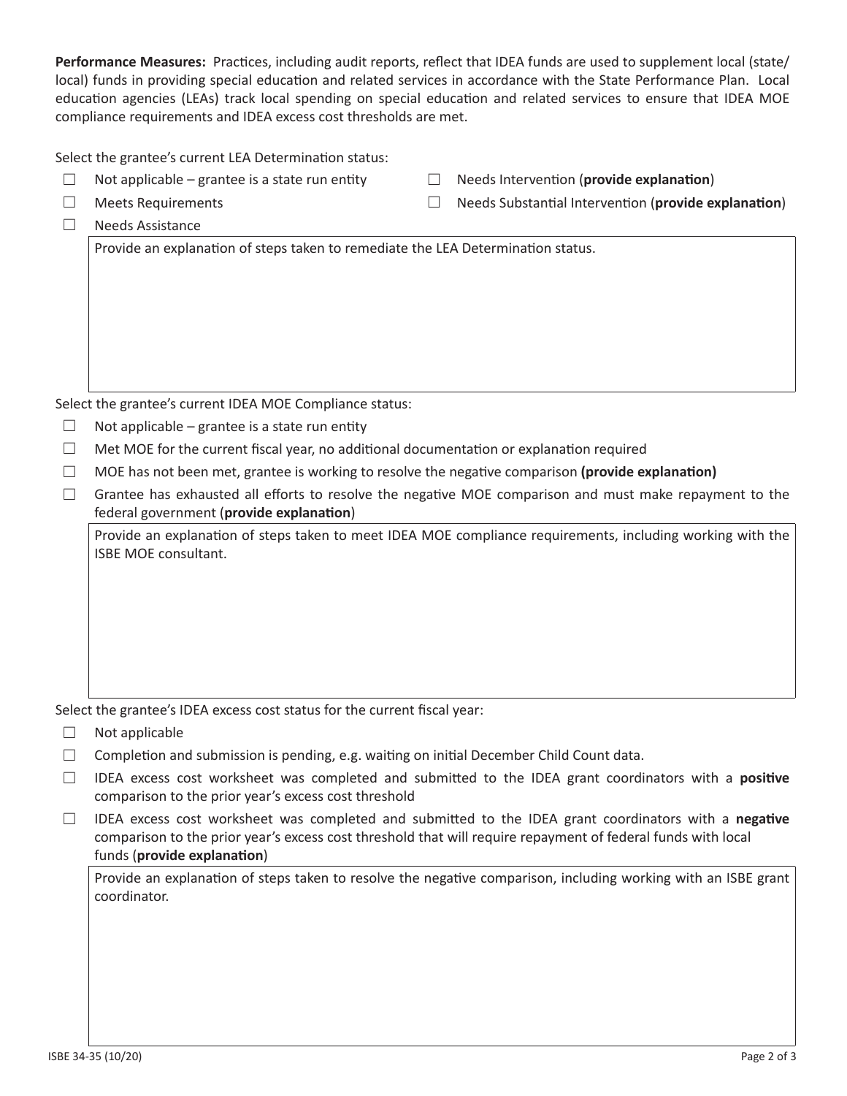**Performance Measures:** Practices, including audit reports, reflect that IDEA funds are used to supplement local (state/ local) funds in providing special education and related services in accordance with the State Performance Plan.Local education agencies (LEAs) track local spending on special education and related services to ensure that IDEA MOE compliance requirements and IDEA excess cost thresholds are met.

Select the grantee's current LEA Determination status:

- ☐ Not applicable grantee is a state run entity ☐ Needs Intervention (**provide explanation**)
- 

- 
- ☐ Meets Requirements ☐ Needs Substantial Intervention (**provide explanation**)
- ☐ Needs Assistance

Provide an explanation of steps taken to remediate the LEA Determination status.

Select the grantee's current IDEA MOE Compliance status:

- $\Box$  Not applicable grantee is a state run entity
- $\Box$  Met MOE for the current fiscal year, no additional documentation or explanation required
- ☐ MOE has not been met, grantee is working to resolve the negative comparison **(provide explanation)**
- □ Grantee has exhausted all efforts to resolve the negative MOE comparison and must make repayment to the federal government (**provide explanation**)

Provide an explanation of steps taken to meet IDEA MOE compliance requirements, including working with the ISBE MOE consultant.

Select the grantee's IDEA excess cost status for the current fiscal year:

- $\Box$  Not applicable
- $\Box$  Completion and submission is pending, e.g. waiting on initial December Child Count data.
- ☐ IDEA excess cost worksheet was completed and submitted to the IDEA grant coordinators with a **positive** comparison to the prior year's excess cost threshold
- ☐ IDEA excess cost worksheet was completed and submitted to the IDEA grant coordinators with a **negative** comparison to the prior year's excess cost threshold that will require repayment of federal funds with local funds (**provide explanation**)

Provide an explanation of steps taken to resolve the negative comparison, including working with an ISBE grant coordinator.